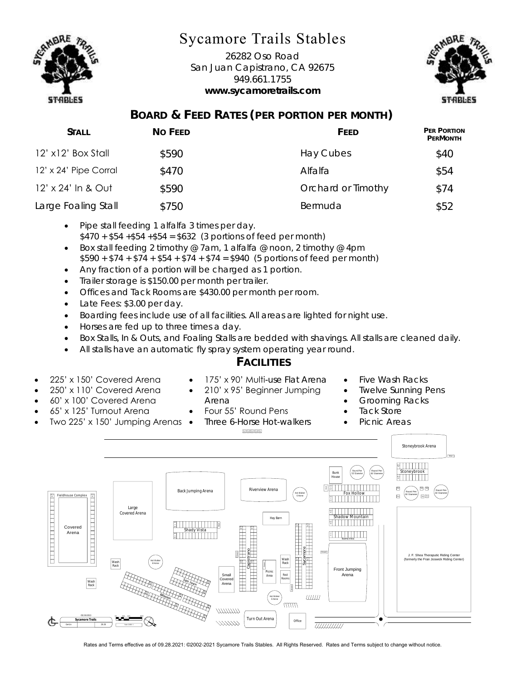

## Sycamore Trails Stables

26282 Oso Road San Juan Capistrano, CA 92675 949.661.1755 **www.sycamoretrails.com**



## **BOARD & FEED RATES (PER PORTION PER MONTH)**

| Stall                 | No Feed | FFFD               | <b>PER PORTION</b><br>PERMONTH |
|-----------------------|---------|--------------------|--------------------------------|
| 12' x12' Box Stall    | \$590   | Hay Cubes          | \$40                           |
| 12' x 24' Pipe Corral | \$470   | Alfalfa            | \$54                           |
| 12' x 24' In & Out    | \$590   | Orchard or Timothy | \$74                           |
| Large Foaling Stall   | \$750   | Bermuda            | \$52                           |

- Pipe stall feeding 1 alfalfa 3 times per day.  $$470 + $54 + $54 + $54 = $632$  (3 portions of feed per month)
- Box stall feeding 2 timothy @ 7am, 1 alfalfa @ noon, 2 timothy @ 4pm  $$590 + $74 + $74 + $54 + $74 + $74 = $940$  (5 portions of feed per month)
- Any fraction of a portion will be charged as 1 portion.
- Trailer storage is \$150.00 per month per trailer.
- Offices and Tack Rooms are \$430.00 per month per room.
- Late Fees: \$3.00 per day.
- Boarding fees include use of all facilities. All areas are lighted for night use.
- Horses are fed up to three times a day.
- Box Stalls, In & Outs, and Foaling Stalls are bedded with shavings. All stalls are cleaned daily.
- All stalls have an automatic fly spray system operating year round.

Arena

## **FACILITIES**

- 225' x 150' Covered Arena
- 250' x 110' Covered Arena • 60' x 100' Covered Arena

• 65' x 125' Turnout Arena

• Two 225' x 150' Jumping Arenas

• 175' x 90' Multi-use Flat Arena • 210' x 95' Beginner Jumping

> • Four 55' Round Pens • Three 6-Horse Hot-walkers

- Five Wash Racks
- **Twelve Sunning Pens**
- Grooming Racks
- Tack Store
- Picnic Areas



Rates and Terms effective as of 09.28.2021: ©2002-2021 Sycamore Trails Stables. All Rights Reserved. Rates and Terms subject to change without notice.